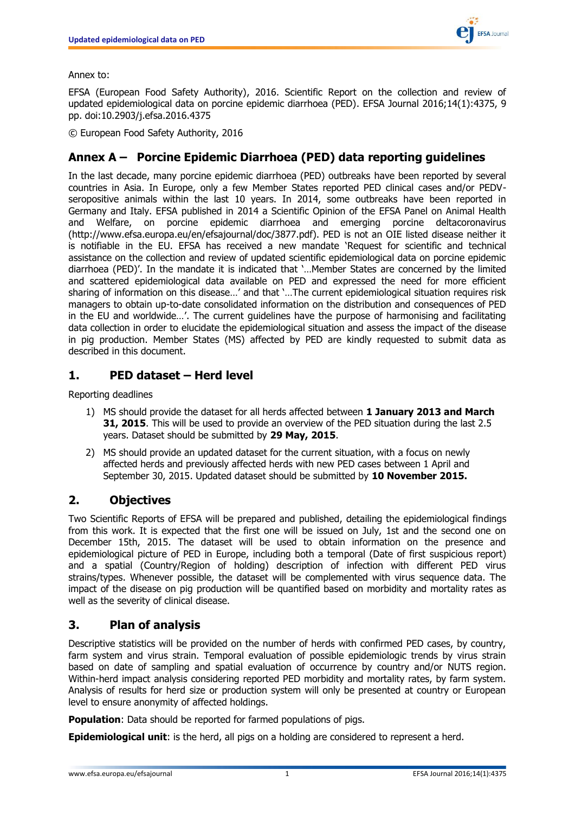

### Annex to:

EFSA (European Food Safety Authority), 2016. Scientific Report on the collection and review of updated epidemiological data on porcine epidemic diarrhoea (PED). EFSA Journal 2016;14(1):4375, 9 pp. doi:10.2903/j.efsa.2016.4375

© European Food Safety Authority, 2016

# **Annex A – Porcine Epidemic Diarrhoea (PED) data reporting guidelines**

In the last decade, many porcine epidemic diarrhoea (PED) outbreaks have been reported by several countries in Asia. In Europe, only a few Member States reported PED clinical cases and/or PEDVseropositive animals within the last 10 years. In 2014, some outbreaks have been reported in Germany and Italy. EFSA published in 2014 a Scientific Opinion of the EFSA Panel on Animal Health and Welfare, on porcine epidemic diarrhoea and emerging porcine deltacoronavirus (http://www.efsa.europa.eu/en/efsajournal/doc/3877.pdf). PED is not an OIE listed disease neither it is notifiable in the EU. EFSA has received a new mandate 'Request for scientific and technical assistance on the collection and review of updated scientific epidemiological data on porcine epidemic diarrhoea (PED)'. In the mandate it is indicated that '…Member States are concerned by the limited and scattered epidemiological data available on PED and expressed the need for more efficient sharing of information on this disease…' and that '…The current epidemiological situation requires risk managers to obtain up-to-date consolidated information on the distribution and consequences of PED in the EU and worldwide…'. The current guidelines have the purpose of harmonising and facilitating data collection in order to elucidate the epidemiological situation and assess the impact of the disease in pig production. Member States (MS) affected by PED are kindly requested to submit data as described in this document.

## **1. PED dataset – Herd level**

Reporting deadlines

- 1) MS should provide the dataset for all herds affected between **1 January 2013 and March 31, 2015**. This will be used to provide an overview of the PED situation during the last 2.5 years. Dataset should be submitted by **29 May, 2015**.
- 2) MS should provide an updated dataset for the current situation, with a focus on newly affected herds and previously affected herds with new PED cases between 1 April and September 30, 2015. Updated dataset should be submitted by **10 November 2015.**

## **2. Objectives**

Two Scientific Reports of EFSA will be prepared and published, detailing the epidemiological findings from this work. It is expected that the first one will be issued on July, 1st and the second one on December 15th, 2015. The dataset will be used to obtain information on the presence and epidemiological picture of PED in Europe, including both a temporal (Date of first suspicious report) and a spatial (Country/Region of holding) description of infection with different PED virus strains/types. Whenever possible, the dataset will be complemented with virus sequence data. The impact of the disease on pig production will be quantified based on morbidity and mortality rates as well as the severity of clinical disease.

## **3. Plan of analysis**

Descriptive statistics will be provided on the number of herds with confirmed PED cases, by country, farm system and virus strain. Temporal evaluation of possible epidemiologic trends by virus strain based on date of sampling and spatial evaluation of occurrence by country and/or NUTS region. Within-herd impact analysis considering reported PED morbidity and mortality rates, by farm system. Analysis of results for herd size or production system will only be presented at country or European level to ensure anonymity of affected holdings.

**Population:** Data should be reported for farmed populations of pigs.

**Epidemiological unit**: is the herd, all pigs on a holding are considered to represent a herd.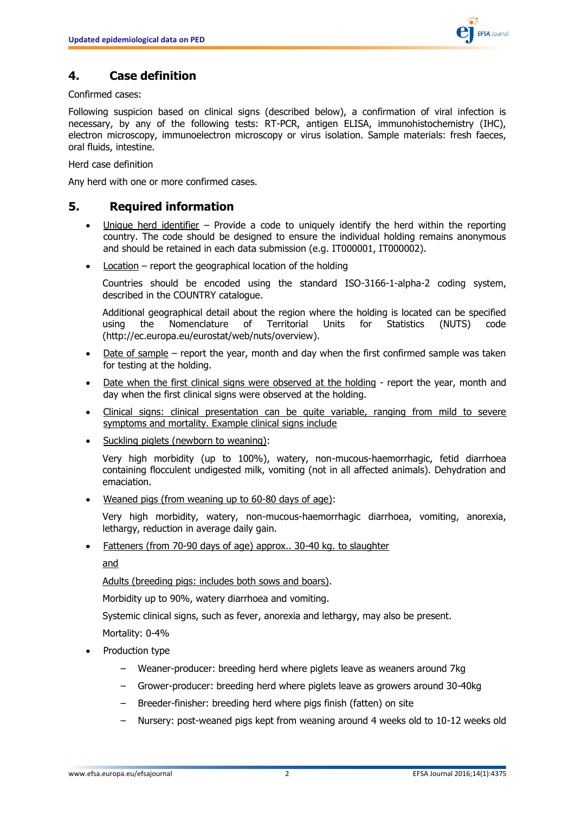

## **4. Case definition**

Confirmed cases:

Following suspicion based on clinical signs (described below), a confirmation of viral infection is necessary, by any of the following tests: RT-PCR, antigen ELISA, immunohistochemistry (IHC), electron microscopy, immunoelectron microscopy or virus isolation. Sample materials: fresh faeces, oral fluids, intestine.

Herd case definition

Any herd with one or more confirmed cases.

## **5. Required information**

- Unique herd identifier Provide a code to uniquely identify the herd within the reporting country. The code should be designed to ensure the individual holding remains anonymous and should be retained in each data submission (e.g. IT000001, IT000002).
- Location report the geographical location of the holding

Countries should be encoded using the standard ISO-3166-1-alpha-2 coding system, described in the COUNTRY catalogue.

Additional geographical detail about the region where the holding is located can be specified<br>using the Nomenclature of Territorial Units for Statistics (NUTS) code using the Nomenclature of Territorial Units for Statistics (NUTS) code [\(http://ec.europa.eu/eurostat/web/nuts/overview\)](http://ec.europa.eu/eurostat/web/nuts/overview).

- Date of sample report the year, month and day when the first confirmed sample was taken for testing at the holding.
- Date when the first clinical signs were observed at the holding report the year, month and day when the first clinical signs were observed at the holding.
- Clinical signs: clinical presentation can be quite variable, ranging from mild to severe symptoms and mortality. Example clinical signs include
- Suckling piglets (newborn to weaning):

Very high morbidity (up to 100%), watery, non-mucous-haemorrhagic, fetid diarrhoea containing flocculent undigested milk, vomiting (not in all affected animals). Dehydration and emaciation.

Weaned pigs (from weaning up to 60-80 days of age):

Very high morbidity, watery, non-mucous-haemorrhagic diarrhoea, vomiting, anorexia, lethargy, reduction in average daily gain.

Fatteners (from 70-90 days of age) approx.. 30-40 kg. to slaughter

and

Adults (breeding pigs: includes both sows and boars).

Morbidity up to 90%, watery diarrhoea and vomiting.

Systemic clinical signs, such as fever, anorexia and lethargy, may also be present.

Mortality: 0-4%

- Production type
	- Weaner-producer: breeding herd where piglets leave as weaners around 7kg
	- Grower-producer: breeding herd where piglets leave as growers around 30-40kg
	- Breeder-finisher: breeding herd where pigs finish (fatten) on site
	- Nursery: post-weaned pigs kept from weaning around 4 weeks old to 10-12 weeks old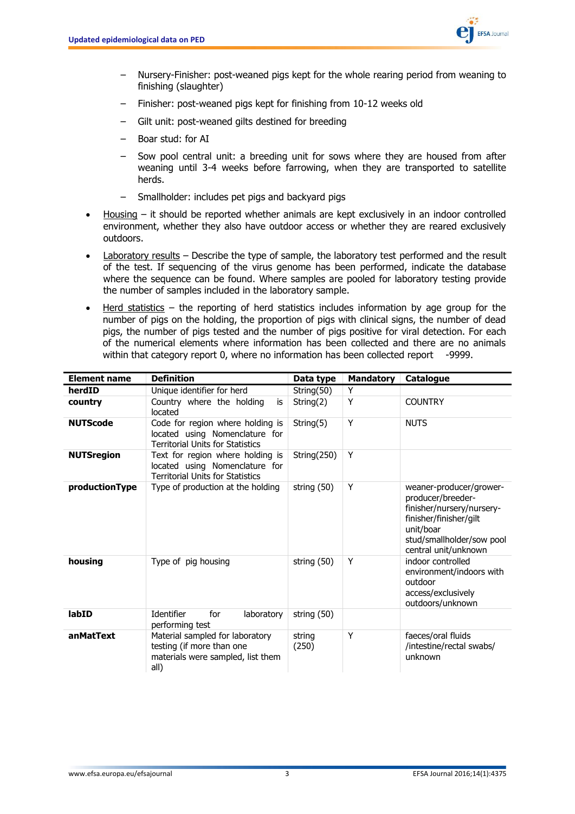

- Nursery-Finisher: post-weaned pigs kept for the whole rearing period from weaning to finishing (slaughter)
- Finisher: post-weaned pigs kept for finishing from 10-12 weeks old
- Gilt unit: post-weaned gilts destined for breeding
- Boar stud: for AI
- Sow pool central unit: a breeding unit for sows where they are housed from after weaning until 3-4 weeks before farrowing, when they are transported to satellite herds.
- Smallholder: includes pet pigs and backyard pigs
- Housing it should be reported whether animals are kept exclusively in an indoor controlled environment, whether they also have outdoor access or whether they are reared exclusively outdoors.
- Laboratory results Describe the type of sample, the laboratory test performed and the result of the test. If sequencing of the virus genome has been performed, indicate the database where the sequence can be found. Where samples are pooled for laboratory testing provide the number of samples included in the laboratory sample.
- Herd statistics the reporting of herd statistics includes information by age group for the number of pigs on the holding, the proportion of pigs with clinical signs, the number of dead pigs, the number of pigs tested and the number of pigs positive for viral detection. For each of the numerical elements where information has been collected and there are no animals within that category report 0, where no information has been collected report -9999.

| <b>Element name</b> | <b>Definition</b>                                                                                             | Data type       | <b>Mandatory</b> | Catalogue                                                                                                                                                             |
|---------------------|---------------------------------------------------------------------------------------------------------------|-----------------|------------------|-----------------------------------------------------------------------------------------------------------------------------------------------------------------------|
| herdID              | Unique identifier for herd                                                                                    | String(50)      | Y                |                                                                                                                                                                       |
| country             | Country where the holding<br>is<br>located                                                                    | String(2)       | Υ                | <b>COUNTRY</b>                                                                                                                                                        |
| <b>NUTScode</b>     | Code for region where holding is<br>located using Nomenclature for<br><b>Territorial Units for Statistics</b> | String(5)       | Y                | <b>NUTS</b>                                                                                                                                                           |
| <b>NUTSregion</b>   | Text for region where holding is<br>located using Nomenclature for<br>Territorial Units for Statistics        | String(250)     | Y                |                                                                                                                                                                       |
| productionType      | Type of production at the holding                                                                             | string (50)     | Y                | weaner-producer/grower-<br>producer/breeder-<br>finisher/nursery/nursery-<br>finisher/finisher/gilt<br>unit/boar<br>stud/smallholder/sow pool<br>central unit/unknown |
| housing             | Type of pig housing                                                                                           | string (50)     | Y                | indoor controlled<br>environment/indoors with<br>outdoor<br>access/exclusively<br>outdoors/unknown                                                                    |
| labID               | Identifier<br>for<br>laboratory<br>performing test                                                            | string (50)     |                  |                                                                                                                                                                       |
| anMatText           | Material sampled for laboratory<br>testing (if more than one<br>materials were sampled, list them<br>all)     | string<br>(250) | Y                | faeces/oral fluids<br>/intestine/rectal swabs/<br>unknown                                                                                                             |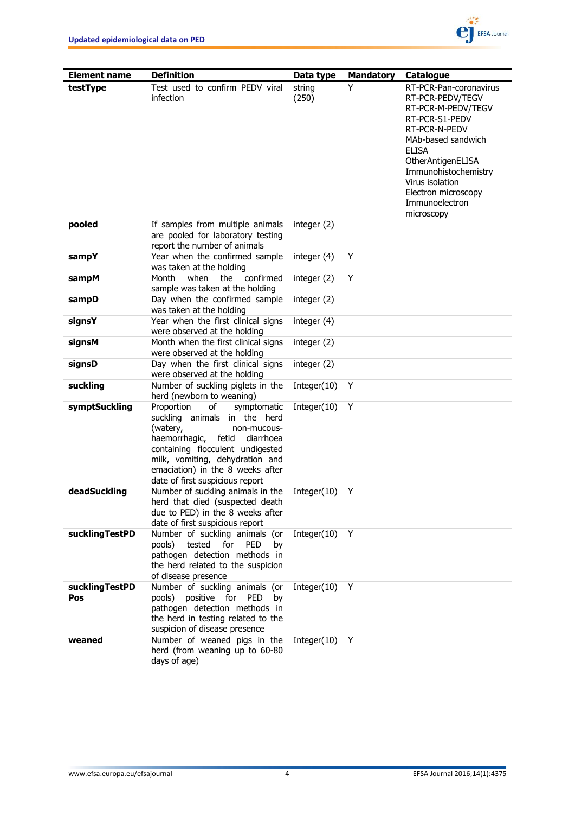

| <b>Element name</b>   | <b>Definition</b>                                                                                                                                                                                                                                                               | Data type       | <b>Mandatory</b> | Catalogue                                                                                                                                                                                                                                                        |
|-----------------------|---------------------------------------------------------------------------------------------------------------------------------------------------------------------------------------------------------------------------------------------------------------------------------|-----------------|------------------|------------------------------------------------------------------------------------------------------------------------------------------------------------------------------------------------------------------------------------------------------------------|
| testType              | Test used to confirm PEDV viral<br><i>infection</i>                                                                                                                                                                                                                             | string<br>(250) | Y                | RT-PCR-Pan-coronavirus<br>RT-PCR-PEDV/TEGV<br>RT-PCR-M-PEDV/TEGV<br>RT-PCR-S1-PEDV<br>RT-PCR-N-PEDV<br>MAb-based sandwich<br><b>ELISA</b><br>OtherAntigenELISA<br>Immunohistochemistry<br>Virus isolation<br>Electron microscopy<br>Immunoelectron<br>microscopy |
| pooled                | If samples from multiple animals<br>are pooled for laboratory testing<br>report the number of animals                                                                                                                                                                           | integer (2)     |                  |                                                                                                                                                                                                                                                                  |
| sampY                 | Year when the confirmed sample<br>was taken at the holding                                                                                                                                                                                                                      | integer (4)     | Y                |                                                                                                                                                                                                                                                                  |
| sampM                 | confirmed<br>Month<br>when<br>the<br>sample was taken at the holding                                                                                                                                                                                                            | integer (2)     | Y                |                                                                                                                                                                                                                                                                  |
| sampD                 | Day when the confirmed sample<br>was taken at the holding                                                                                                                                                                                                                       | integer (2)     |                  |                                                                                                                                                                                                                                                                  |
| signsY                | Year when the first clinical signs<br>were observed at the holding                                                                                                                                                                                                              | integer (4)     |                  |                                                                                                                                                                                                                                                                  |
| signsM                | Month when the first clinical signs<br>were observed at the holding                                                                                                                                                                                                             | integer (2)     |                  |                                                                                                                                                                                                                                                                  |
| signsD                | Day when the first clinical signs<br>were observed at the holding                                                                                                                                                                                                               | integer (2)     |                  |                                                                                                                                                                                                                                                                  |
| suckling              | Number of suckling piglets in the<br>herd (newborn to weaning)                                                                                                                                                                                                                  | Integer(10)     | Υ                |                                                                                                                                                                                                                                                                  |
| symptSuckling         | Proportion<br>οf<br>symptomatic<br>suckling animals in the herd<br>(watery,<br>non-mucous-<br>haemorrhagic,<br>fetid<br>diarrhoea<br>containing flocculent undigested<br>milk, vomiting, dehydration and<br>emaciation) in the 8 weeks after<br>date of first suspicious report | Integer(10)     | Y                |                                                                                                                                                                                                                                                                  |
| deadSuckling          | Number of suckling animals in the<br>herd that died (suspected death<br>due to PED) in the 8 weeks after<br>date of first suspicious report                                                                                                                                     | Integer(10)     | Y                |                                                                                                                                                                                                                                                                  |
| <b>sucklingTestPD</b> | Number of suckling animals (or<br>pools)<br>tested<br>for<br>PED<br>by<br>pathogen detection methods in<br>the herd related to the suspicion<br>of disease presence                                                                                                             | Integer(10)     | Y                |                                                                                                                                                                                                                                                                  |
| sucklingTestPD<br>Pos | Number of suckling animals (or<br>pools)<br>positive for PED<br>by<br>pathogen detection methods in<br>the herd in testing related to the<br>suspicion of disease presence                                                                                                      | Integer(10)     | Υ                |                                                                                                                                                                                                                                                                  |
| weaned                | Number of weaned pigs in the<br>herd (from weaning up to 60-80<br>days of age)                                                                                                                                                                                                  | Integer $(10)$  | Y                |                                                                                                                                                                                                                                                                  |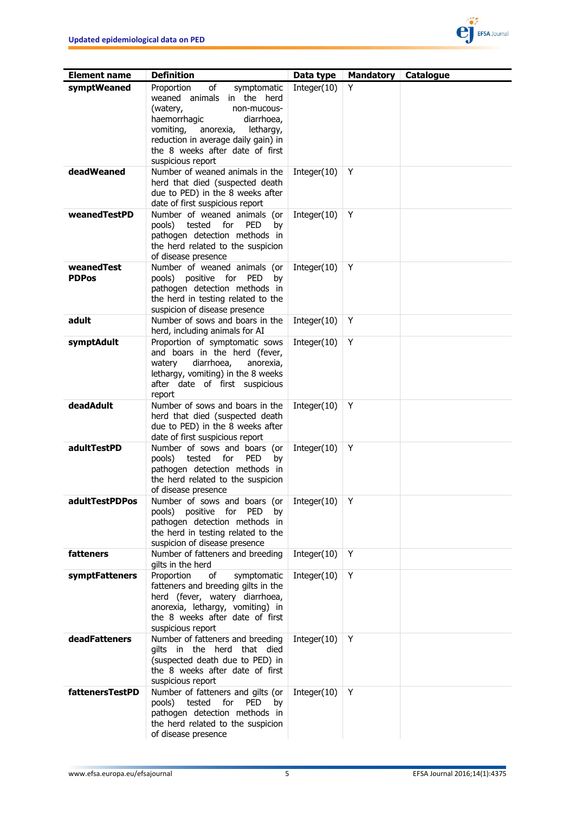

| <b>Element name</b>        | <b>Definition</b>                                                                                                                                                                                                                                            | Data type      | <b>Mandatory</b> | Catalogue |
|----------------------------|--------------------------------------------------------------------------------------------------------------------------------------------------------------------------------------------------------------------------------------------------------------|----------------|------------------|-----------|
| symptWeaned                | of<br>Proportion<br>symptomatic<br>weaned animals in the herd<br>(watery,<br>non-mucous-<br>haemorrhagic<br>diarrhoea,<br>vomiting,<br>lethargy,<br>anorexia,<br>reduction in average daily gain) in<br>the 8 weeks after date of first<br>suspicious report | Integer(10)    | Y                |           |
| deadWeaned                 | Number of weaned animals in the<br>herd that died (suspected death<br>due to PED) in the 8 weeks after<br>date of first suspicious report                                                                                                                    | Integer $(10)$ | Y                |           |
| weanedTestPD               | Number of weaned animals (or<br><b>PED</b><br>pools)<br>tested<br>for<br>by<br>pathogen detection methods in<br>the herd related to the suspicion<br>of disease presence                                                                                     | Integer(10)    | Y                |           |
| weanedTest<br><b>PDPos</b> | Number of weaned animals (or<br>PED<br>pools) positive for<br>by<br>pathogen detection methods in<br>the herd in testing related to the<br>suspicion of disease presence                                                                                     | Integer(10)    | Y                |           |
| adult                      | Number of sows and boars in the<br>herd, including animals for AI                                                                                                                                                                                            | Integer(10)    | Y                |           |
| symptAdult                 | Proportion of symptomatic sows<br>and boars in the herd (fever,<br>diarrhoea,<br>watery<br>anorexia,<br>lethargy, vomiting) in the 8 weeks<br>after date of first suspicious<br>report                                                                       | Integer(10)    | Υ                |           |
| deadAdult                  | Number of sows and boars in the<br>herd that died (suspected death<br>due to PED) in the 8 weeks after<br>date of first suspicious report                                                                                                                    | Integer(10)    | Y                |           |
| adultTestPD                | Number of sows and boars (or<br>pools)<br>tested<br>for<br><b>PED</b><br>by<br>pathogen detection methods in<br>the herd related to the suspicion<br>of disease presence                                                                                     | Integer(10)    | Y                |           |
| adultTestPDPos             | Number of sows and boars (or<br>pools)<br>positive<br>for<br>PED<br>by<br>pathogen detection methods in<br>the herd in testing related to the<br>suspicion of disease presence                                                                               | Integer(10)    | Y                |           |
| fatteners                  | Number of fatteners and breeding<br>gilts in the herd                                                                                                                                                                                                        | Integer(10)    | Y                |           |
| symptFatteners             | Proportion<br>of<br>symptomatic<br>fatteners and breeding gilts in the<br>herd (fever, watery diarrhoea,<br>anorexia, lethargy, vomiting) in<br>the 8 weeks after date of first<br>suspicious report                                                         | Integer(10)    | Y                |           |
| deadFatteners              | Number of fatteners and breeding<br>gilts in the herd that died<br>(suspected death due to PED) in<br>the 8 weeks after date of first<br>suspicious report                                                                                                   | Integer $(10)$ | Y                |           |
| fattenersTestPD            | Number of fatteners and gilts (or<br>pools)<br>tested<br>for<br>PED<br>by<br>pathogen detection methods in<br>the herd related to the suspicion<br>of disease presence                                                                                       | Integer(10)    | Y                |           |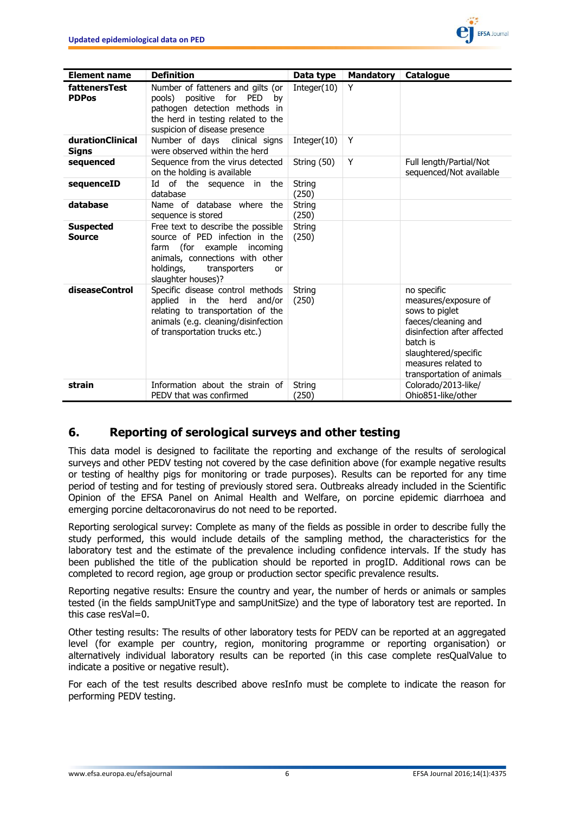

| <b>Element name</b>               | <b>Definition</b>                                                                                                                                                                                    | Data type       | <b>Mandatory</b> | Catalogue                                                                                                                                                                                           |
|-----------------------------------|------------------------------------------------------------------------------------------------------------------------------------------------------------------------------------------------------|-----------------|------------------|-----------------------------------------------------------------------------------------------------------------------------------------------------------------------------------------------------|
| fattenersTest<br><b>PDPos</b>     | Number of fatteners and gilts (or<br>positive for<br><b>PED</b><br>pools)<br>bv<br>pathogen detection methods in<br>the herd in testing related to the<br>suspicion of disease presence              | Integer $(10)$  | Y                |                                                                                                                                                                                                     |
| durationClinical<br>Signs         | Number of days<br>clinical signs<br>were observed within the herd                                                                                                                                    | Integer(10)     | Y                |                                                                                                                                                                                                     |
| sequenced                         | Sequence from the virus detected<br>on the holding is available                                                                                                                                      | String (50)     | Y                | Full length/Partial/Not<br>sequenced/Not available                                                                                                                                                  |
| sequenceID                        | of the sequence in<br>Id<br>the<br>database                                                                                                                                                          | String<br>(250) |                  |                                                                                                                                                                                                     |
| database                          | Name of database where the<br>sequence is stored                                                                                                                                                     | String<br>(250) |                  |                                                                                                                                                                                                     |
| <b>Suspected</b><br><b>Source</b> | Free text to describe the possible<br>source of PED infection in the<br>(for example<br>incoming<br>farm<br>animals, connections with other<br>holdings,<br>transporters<br>or<br>slaughter houses)? | String<br>(250) |                  |                                                                                                                                                                                                     |
| diseaseControl                    | Specific disease control methods<br>the<br>herd<br>applied<br>in<br>and/or<br>relating to transportation of the<br>animals (e.g. cleaning/disinfection<br>of transportation trucks etc.)             | String<br>(250) |                  | no specific<br>measures/exposure of<br>sows to piglet<br>faeces/cleaning and<br>disinfection after affected<br>batch is<br>slaughtered/specific<br>measures related to<br>transportation of animals |
| strain                            | Information about the strain of<br>PEDV that was confirmed                                                                                                                                           | String<br>(250) |                  | Colorado/2013-like/<br>Ohio851-like/other                                                                                                                                                           |

## **6. Reporting of serological surveys and other testing**

This data model is designed to facilitate the reporting and exchange of the results of serological surveys and other PEDV testing not covered by the case definition above (for example negative results or testing of healthy pigs for monitoring or trade purposes). Results can be reported for any time period of testing and for testing of previously stored sera. Outbreaks already included in the Scientific Opinion of the EFSA Panel on Animal Health and Welfare, on porcine epidemic diarrhoea and emerging porcine deltacoronavirus do not need to be reported.

Reporting serological survey: Complete as many of the fields as possible in order to describe fully the study performed, this would include details of the sampling method, the characteristics for the laboratory test and the estimate of the prevalence including confidence intervals. If the study has been published the title of the publication should be reported in progID. Additional rows can be completed to record region, age group or production sector specific prevalence results.

Reporting negative results: Ensure the country and year, the number of herds or animals or samples tested (in the fields sampUnitType and sampUnitSize) and the type of laboratory test are reported. In this case resVal=0.

Other testing results: The results of other laboratory tests for PEDV can be reported at an aggregated level (for example per country, region, monitoring programme or reporting organisation) or alternatively individual laboratory results can be reported (in this case complete resQualValue to indicate a positive or negative result).

For each of the test results described above resInfo must be complete to indicate the reason for performing PEDV testing.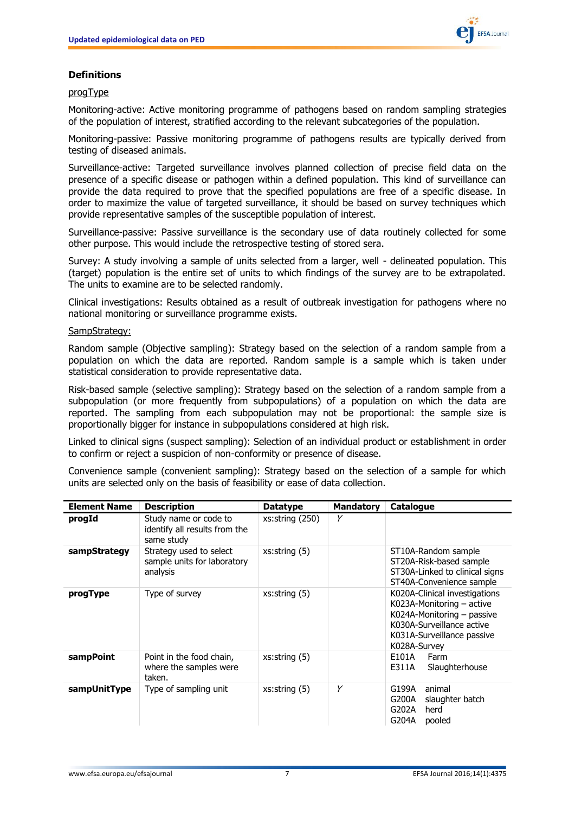

### **Definitions**

### progType

Monitoring-active: Active monitoring programme of pathogens based on random sampling strategies of the population of interest, stratified according to the relevant subcategories of the population.

Monitoring-passive: Passive monitoring programme of pathogens results are typically derived from testing of diseased animals.

Surveillance-active: Targeted surveillance involves planned collection of precise field data on the presence of a specific disease or pathogen within a defined population. This kind of surveillance can provide the data required to prove that the specified populations are free of a specific disease. In order to maximize the value of targeted surveillance, it should be based on survey techniques which provide representative samples of the susceptible population of interest.

Surveillance-passive: Passive surveillance is the secondary use of data routinely collected for some other purpose. This would include the retrospective testing of stored sera.

Survey: A study involving a sample of units selected from a larger, well - delineated population. This (target) population is the entire set of units to which findings of the survey are to be extrapolated. The units to examine are to be selected randomly.

Clinical investigations: Results obtained as a result of outbreak investigation for pathogens where no national monitoring or surveillance programme exists.

#### SampStrategy:

Random sample (Objective sampling): Strategy based on the selection of a random sample from a population on which the data are reported. Random sample is a sample which is taken under statistical consideration to provide representative data.

Risk-based sample (selective sampling): Strategy based on the selection of a random sample from a subpopulation (or more frequently from subpopulations) of a population on which the data are reported. The sampling from each subpopulation may not be proportional: the sample size is proportionally bigger for instance in subpopulations considered at high risk.

Linked to clinical signs (suspect sampling): Selection of an individual product or establishment in order to confirm or reject a suspicion of non-conformity or presence of disease.

Convenience sample (convenient sampling): Strategy based on the selection of a sample for which units are selected only on the basis of feasibility or ease of data collection.

| <b>Element Name</b> | <b>Description</b>                                                   | <b>Datatype</b>      | <b>Mandatory</b> | <b>Catalogue</b>                                                                                                                                                    |
|---------------------|----------------------------------------------------------------------|----------------------|------------------|---------------------------------------------------------------------------------------------------------------------------------------------------------------------|
| progId              | Study name or code to<br>identify all results from the<br>same study | $xs:$ string $(250)$ | Y                |                                                                                                                                                                     |
| sampStrategy        | Strategy used to select<br>sample units for laboratory<br>analysis   | xs:string(5)         |                  | ST10A-Random sample<br>ST20A-Risk-based sample<br>ST30A-Linked to clinical signs<br>ST40A-Convenience sample                                                        |
| progType            | Type of survey                                                       | xs:string(5)         |                  | K020A-Clinical investigations<br>K023A-Monitoring - active<br>K024A-Monitoring - passive<br>K030A-Surveillance active<br>K031A-Surveillance passive<br>K028A-Survey |
| sampPoint           | Point in the food chain,<br>where the samples were<br>taken.         | xs:string(5)         |                  | E101A<br>Farm<br>E311A<br>Slaughterhouse                                                                                                                            |
| sampUnitType        | Type of sampling unit                                                | xs:string(5)         | Y                | G199A<br>animal<br>G200A<br>slaughter batch<br>G202A<br>herd<br>G204A<br>pooled                                                                                     |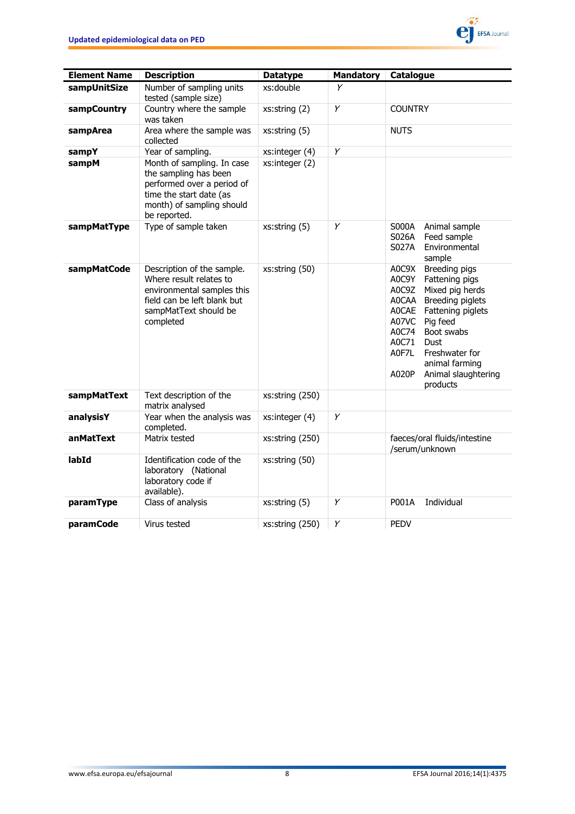

| <b>Element Name</b> | <b>Description</b>                                                                                                                                        | <b>Datatype</b> | <b>Mandatory</b> | Catalogue                                                                                                                                                                                                                                                                                          |
|---------------------|-----------------------------------------------------------------------------------------------------------------------------------------------------------|-----------------|------------------|----------------------------------------------------------------------------------------------------------------------------------------------------------------------------------------------------------------------------------------------------------------------------------------------------|
| sampUnitSize        | Number of sampling units<br>tested (sample size)                                                                                                          | xs:double       | Y                |                                                                                                                                                                                                                                                                                                    |
| sampCountry         | Country where the sample<br>was taken                                                                                                                     | xs:string (2)   | Y                | <b>COUNTRY</b>                                                                                                                                                                                                                                                                                     |
| sampArea            | Area where the sample was<br>collected                                                                                                                    | xs:string (5)   |                  | <b>NUTS</b>                                                                                                                                                                                                                                                                                        |
| sampY               | Year of sampling.                                                                                                                                         | xs:integer (4)  | Υ                |                                                                                                                                                                                                                                                                                                    |
| sampM               | Month of sampling. In case<br>the sampling has been<br>performed over a period of<br>time the start date (as<br>month) of sampling should<br>be reported. | xs:integer(2)   |                  |                                                                                                                                                                                                                                                                                                    |
| sampMatType         | Type of sample taken                                                                                                                                      | xs:string(5)    | Υ                | S000A<br>Animal sample<br>Feed sample<br>S026A<br>Environmental<br>S027A<br>sample                                                                                                                                                                                                                 |
| sampMatCode         | Description of the sample.<br>Where result relates to<br>environmental samples this<br>field can be left blank but<br>sampMatText should be<br>completed  | xs:string (50)  |                  | Breeding pigs<br>A0C9X<br>A0C9Y<br>Fattening pigs<br>Mixed pig herds<br>A0C9Z<br><b>AOCAA</b><br>Breeding piglets<br>AOCAE Fattening piglets<br>A07VC<br>Pig feed<br>A0C74<br>Boot swabs<br>A0C71<br>Dust<br>A0F7L<br>Freshwater for<br>animal farming<br>A020P<br>Animal slaughtering<br>products |
| sampMatText         | Text description of the<br>matrix analysed                                                                                                                | xs:string (250) |                  |                                                                                                                                                                                                                                                                                                    |
| analysisY           | Year when the analysis was<br>completed.                                                                                                                  | xs:integer (4)  | Y                |                                                                                                                                                                                                                                                                                                    |
| anMatText           | Matrix tested                                                                                                                                             | xs:string (250) |                  | faeces/oral fluids/intestine<br>/serum/unknown                                                                                                                                                                                                                                                     |
| labId               | Identification code of the<br>laboratory (National<br>laboratory code if<br>available).                                                                   | xs:string (50)  |                  |                                                                                                                                                                                                                                                                                                    |
| paramType           | Class of analysis                                                                                                                                         | xs:string(5)    | Y                | P001A<br>Individual                                                                                                                                                                                                                                                                                |
| <b>paramCode</b>    | Virus tested                                                                                                                                              | xs:string (250) | Y                | <b>PEDV</b>                                                                                                                                                                                                                                                                                        |